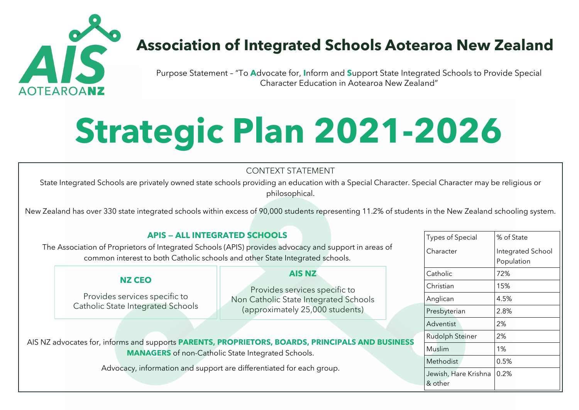

## **Association of Integrated Schools Aotearoa New Zealand**

Purpose Statement – "To **A**dvocate for, **I**nform and **S**upport State Integrated Schools to Provide Special Character Education in Aotearoa New Zealand"

# **Strategic Plan 2021-2026**

### CONTEXT STATEMENT

State Integrated Schools are privately owned state schools providing an education with a Special Character. Special Character may be religious or philosophical.

New Zealand has over 330 state integrated schools within excess of 90,000 students representing 11.2% of students in the New Zealand schooling system.

#### **APIS — ALL INTEGRATED SCHOOLS**

The Association of Proprietors of Integrated Schools (APIS) provides advocacy and support in areas of common interest to both Catholic schools and other State Integrated schools.

#### **NZ CEO**

Provides services specific to Catholic State Integrated Schools

#### **AIS NZ**

Provides services specific to Non Catholic State Integrated Schools (approximately 25,000 students)

AIS NZ advocates for, informs and supports **PARENTS, PROPRIETORS, BOARDS, PRINCIPALS AND BUSINESS MANAGERS** of non-Catholic State Integrated Schools.

Advocacy, information and support are differentiated for each group.

| <b>Types of Special</b> | % of State        |
|-------------------------|-------------------|
| Character               | Integrated School |
|                         | Population        |
| Catholic                | 72%               |
| Christian               | 15%               |
| Anglican                | 4.5%              |
| Presbyterian            | 2.8%              |
| Adventist               | 2%                |
| <b>Rudolph Steiner</b>  | 2%                |
| Muslim                  | $1\%$             |
| Methodist               | 0.5%              |
| Jewish, Hare Krishna    | 0.2%              |
| & other                 |                   |